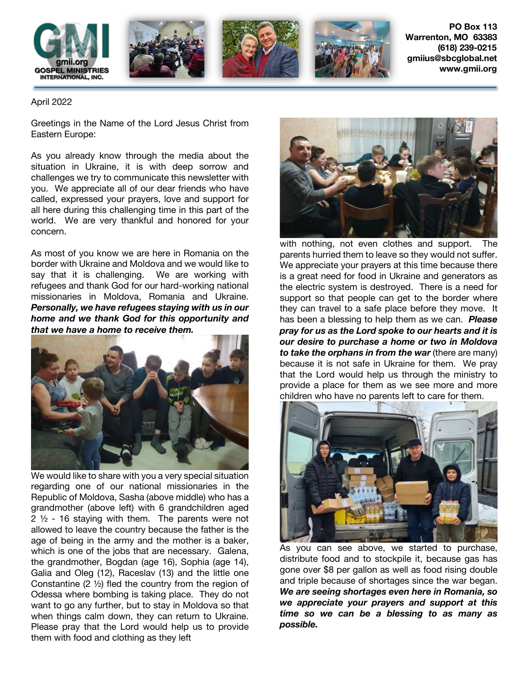

**PO Box 113 Warrenton, MO 63383 (618) 239-0215 gmiius@sbcglobal.net www.gmii.org**

April 2022

Greetings in the Name of the Lord Jesus Christ from Eastern Europe:

As you already know through the media about the situation in Ukraine, it is with deep sorrow and challenges we try to communicate this newsletter with you. We appreciate all of our dear friends who have called, expressed your prayers, love and support for all here during this challenging time in this part of the world. We are very thankful and honored for your concern.

As most of you know we are here in Romania on the border with Ukraine and Moldova and we would like to say that it is challenging. We are working with refugees and thank God for our hard-working national missionaries in Moldova, Romania and Ukraine. *Personally, we have refugees staying with us in our home and we thank God for this opportunity and that we have a home to receive them.*



We would like to share with you a very special situation regarding one of our national missionaries in the Republic of Moldova, Sasha (above middle) who has a grandmother (above left) with 6 grandchildren aged 2  $\frac{1}{2}$  - 16 staying with them. The parents were not allowed to leave the country because the father is the age of being in the army and the mother is a baker, which is one of the jobs that are necessary. Galena, the grandmother, Bogdan (age 16), Sophia (age 14), Galia and Oleg (12), Raceslav (13) and the little one Constantine (2 ½) fled the country from the region of Odessa where bombing is taking place. They do not want to go any further, but to stay in Moldova so that when things calm down, they can return to Ukraine. Please pray that the Lord would help us to provide them with food and clothing as they left



with nothing, not even clothes and support. The parents hurried them to leave so they would not suffer. We appreciate your prayers at this time because there is a great need for food in Ukraine and generators as the electric system is destroyed. There is a need for support so that people can get to the border where they can travel to a safe place before they move. It has been a blessing to help them as we can. *Please pray for us as the Lord spoke to our hearts and it is our desire to purchase a home or two in Moldova to take the orphans in from the war* (there are many) because it is not safe in Ukraine for them. We pray that the Lord would help us through the ministry to provide a place for them as we see more and more children who have no parents left to care for them.



As you can see above, we started to purchase, distribute food and to stockpile it, because gas has gone over \$8 per gallon as well as food rising double and triple because of shortages since the war began. *We are seeing shortages even here in Romania, so we appreciate your prayers and support at this time so we can be a blessing to as many as possible.*